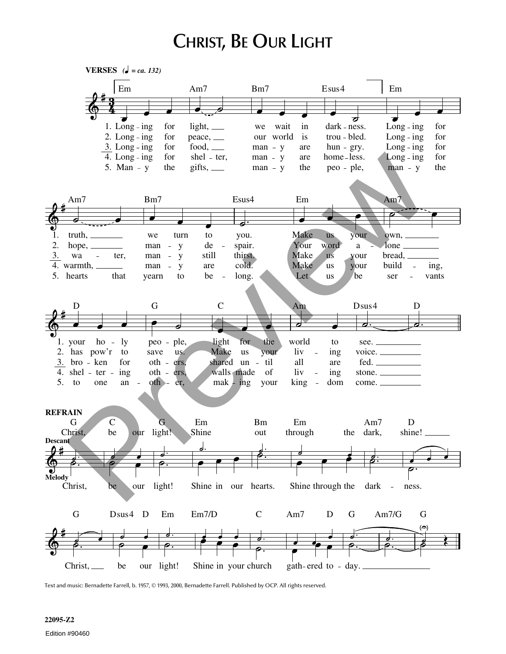## **CHRIST, BE OUR LIGHT**



Text and music: Bernadette Farrell, b. 1957, © 1993, 2000, Bernadette Farrell. Published by OCP. All rights reserved.